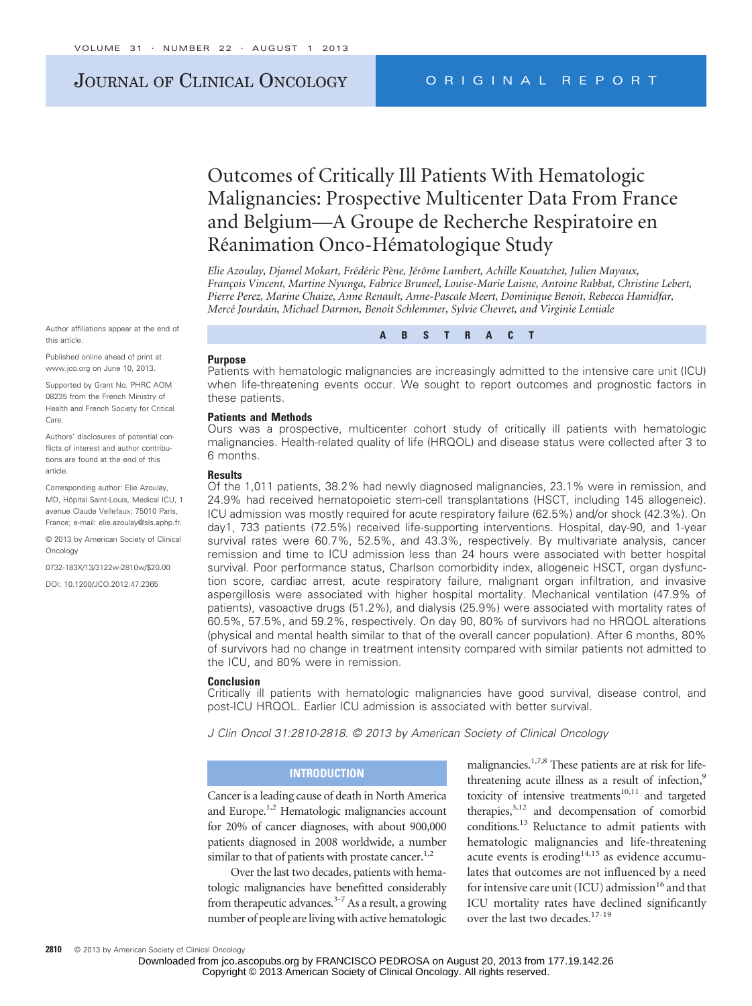## JOURNAL OF CLINICAL ONCOLOGY ORIGINAL REPORT

# Outcomes of Critically Ill Patients With Hematologic Malignancies: Prospective Multicenter Data From France and Belgium—A Groupe de Recherche Respiratoire en Réanimation Onco-Hématologique Study

Elie Azoulay, Djamel Mokart, Frédéric Pène, Jérôme Lambert, Achille Kouatchet, Julien Mayaux, *Franc¸ois Vincent, Martine Nyunga, Fabrice Bruneel, Louise-Marie Laisne, Antoine Rabbat, Christine Lebert, Pierre Perez, Marine Chaize, Anne Renault, Anne-Pascale Meert, Dominique Benoit, Rebecca Hamidfar, Merce´ Jourdain, Michael Darmon, Benoit Schlemmer, Sylvie Chevret, and Virginie Lemiale*

Author affiliations appear at the end of this article.

Published online ahead of print at www.jco.org on June 10, 2013.

Supported by Grant No. PHRC AOM 08235 from the French Ministry of Health and French Society for Critical Care.

Authors' disclosures of potential conflicts of interest and author contributions are found at the end of this article.

Corresponding author: Elie Azoulay, MD, Hôpital Saint-Louis, Medical ICU, 1 avenue Claude Vellefaux; 75010 Paris, France; e-mail: elie.azoulay@sls.aphp.fr.

© 2013 by American Society of Clinical Oncology

0732-183X/13/3122w-2810w/\$20.00

DOI: 10.1200/JCO.2012.47.2365

#### **Purpose**

Patients with hematologic malignancies are increasingly admitted to the intensive care unit (ICU) when life-threatening events occur. We sought to report outcomes and prognostic factors in these patients.

**ABSTRACT**

#### **Patients and Methods**

Ours was a prospective, multicenter cohort study of critically ill patients with hematologic malignancies. Health-related quality of life (HRQOL) and disease status were collected after 3 to 6 months.

#### **Results**

Of the 1,011 patients, 38.2% had newly diagnosed malignancies, 23.1% were in remission, and 24.9% had received hematopoietic stem-cell transplantations (HSCT, including 145 allogeneic). ICU admission was mostly required for acute respiratory failure (62.5%) and/or shock (42.3%). On day1, 733 patients (72.5%) received life-supporting interventions. Hospital, day-90, and 1-year survival rates were 60.7%, 52.5%, and 43.3%, respectively. By multivariate analysis, cancer remission and time to ICU admission less than 24 hours were associated with better hospital survival. Poor performance status, Charlson comorbidity index, allogeneic HSCT, organ dysfunction score, cardiac arrest, acute respiratory failure, malignant organ infiltration, and invasive aspergillosis were associated with higher hospital mortality. Mechanical ventilation (47.9% of patients), vasoactive drugs (51.2%), and dialysis (25.9%) were associated with mortality rates of 60.5%, 57.5%, and 59.2%, respectively. On day 90, 80% of survivors had no HRQOL alterations (physical and mental health similar to that of the overall cancer population). After 6 months, 80% of survivors had no change in treatment intensity compared with similar patients not admitted to the ICU, and 80% were in remission.

#### **Conclusion**

Critically ill patients with hematologic malignancies have good survival, disease control, and post-ICU HRQOL. Earlier ICU admission is associated with better survival.

*J Clin Oncol 31:2810-2818. © 2013 by American Society of Clinical Oncology*

#### **INTRODUCTION**

Cancer is a leading cause of death in North America and Europe.<sup>1,2</sup> Hematologic malignancies account for 20% of cancer diagnoses, with about 900,000 patients diagnosed in 2008 worldwide, a number similar to that of patients with prostate cancer.<sup>1,2</sup>

Over the last two decades, patients with hematologic malignancies have benefitted considerably from therapeutic advances.<sup>3-7</sup> As a result, a growing number of people are living with active hematologic

malignancies.<sup>1,7,8</sup> These patients are at risk for lifethreatening acute illness as a result of infection,<sup>9</sup> toxicity of intensive treatments $10,11$  and targeted therapies, $3,12$  and decompensation of comorbid conditions.13 Reluctance to admit patients with hematologic malignancies and life-threatening acute events is eroding $14,15$  as evidence accumulates that outcomes are not influenced by a need for intensive care unit (ICU) admission<sup>16</sup> and that ICU mortality rates have declined significantly over the last two decades.<sup>17-19</sup>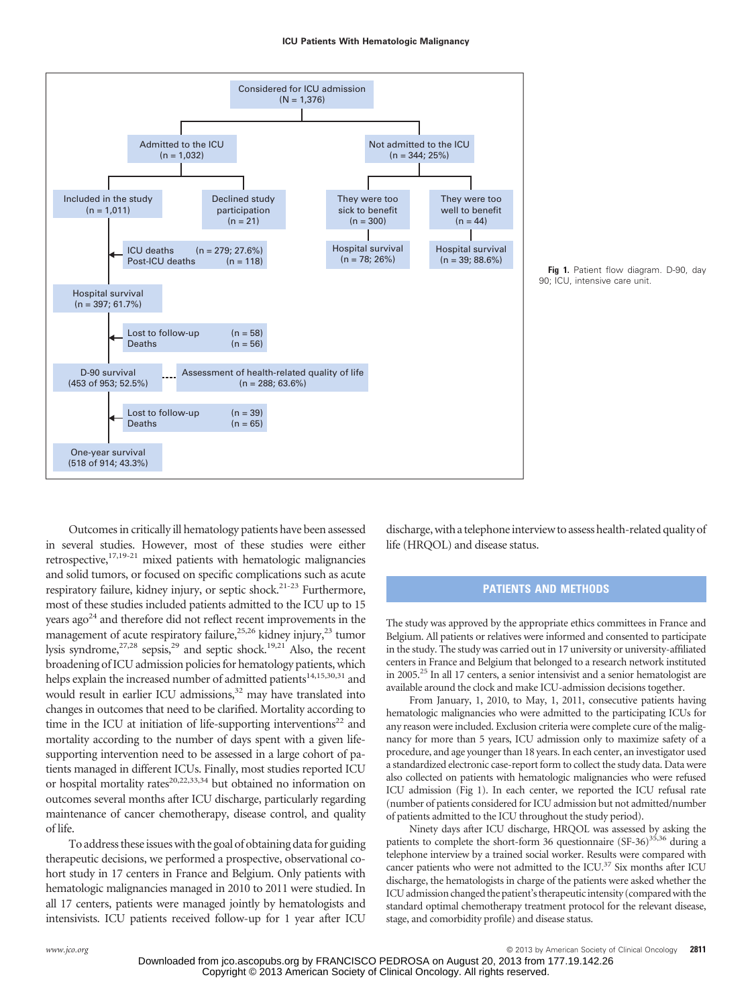



Outcomes in critically ill hematology patients have been assessed in several studies. However, most of these studies were either retrospective, $17,19-21$  mixed patients with hematologic malignancies and solid tumors, or focused on specific complications such as acute respiratory failure, kidney injury, or septic shock.<sup>21-23</sup> Furthermore, most of these studies included patients admitted to the ICU up to 15 years ago<sup>24</sup> and therefore did not reflect recent improvements in the management of acute respiratory failure,<sup>25,26</sup> kidney injury,<sup>23</sup> tumor lysis syndrome, $27,28$  sepsis, $29$  and septic shock.<sup>19,21</sup> Also, the recent broadening of ICU admission policies for hematology patients, which helps explain the increased number of admitted patients<sup>14,15,30,31</sup> and would result in earlier ICU admissions,<sup>32</sup> may have translated into changes in outcomes that need to be clarified. Mortality according to time in the ICU at initiation of life-supporting interventions<sup>22</sup> and mortality according to the number of days spent with a given lifesupporting intervention need to be assessed in a large cohort of patients managed in different ICUs. Finally, most studies reported ICU or hospital mortality rates<sup>20,22,33,34</sup> but obtained no information on outcomes several months after ICU discharge, particularly regarding maintenance of cancer chemotherapy, disease control, and quality of life.

To address these issues with the goal of obtaining data for guiding therapeutic decisions, we performed a prospective, observational cohort study in 17 centers in France and Belgium. Only patients with hematologic malignancies managed in 2010 to 2011 were studied. In all 17 centers, patients were managed jointly by hematologists and intensivists. ICU patients received follow-up for 1 year after ICU discharge, with a telephone interview to assess health-related quality of life (HRQOL) and disease status.

### **PATIENTS AND METHODS**

The study was approved by the appropriate ethics committees in France and Belgium. All patients or relatives were informed and consented to participate in the study. The study was carried out in 17 university or university-affiliated centers in France and Belgium that belonged to a research network instituted in 2005.25 In all 17 centers, a senior intensivist and a senior hematologist are available around the clock and make ICU-admission decisions together.

From January, 1, 2010, to May, 1, 2011, consecutive patients having hematologic malignancies who were admitted to the participating ICUs for any reason were included. Exclusion criteria were complete cure of the malignancy for more than 5 years, ICU admission only to maximize safety of a procedure, and age younger than 18 years. In each center, an investigator used a standardized electronic case-report form to collect the study data. Data were also collected on patients with hematologic malignancies who were refused ICU admission (Fig 1). In each center, we reported the ICU refusal rate (number of patients considered for ICU admission but not admitted/number of patients admitted to the ICU throughout the study period).

Ninety days after ICU discharge, HRQOL was assessed by asking the patients to complete the short-form 36 questionnaire  $(SF-36)^{35,36}$  during a telephone interview by a trained social worker. Results were compared with cancer patients who were not admitted to the ICU.<sup>37</sup> Six months after ICU discharge, the hematologists in charge of the patients were asked whether the ICU admission changed the patient's therapeutic intensity (compared with the standard optimal chemotherapy treatment protocol for the relevant disease, stage, and comorbidity profile) and disease status.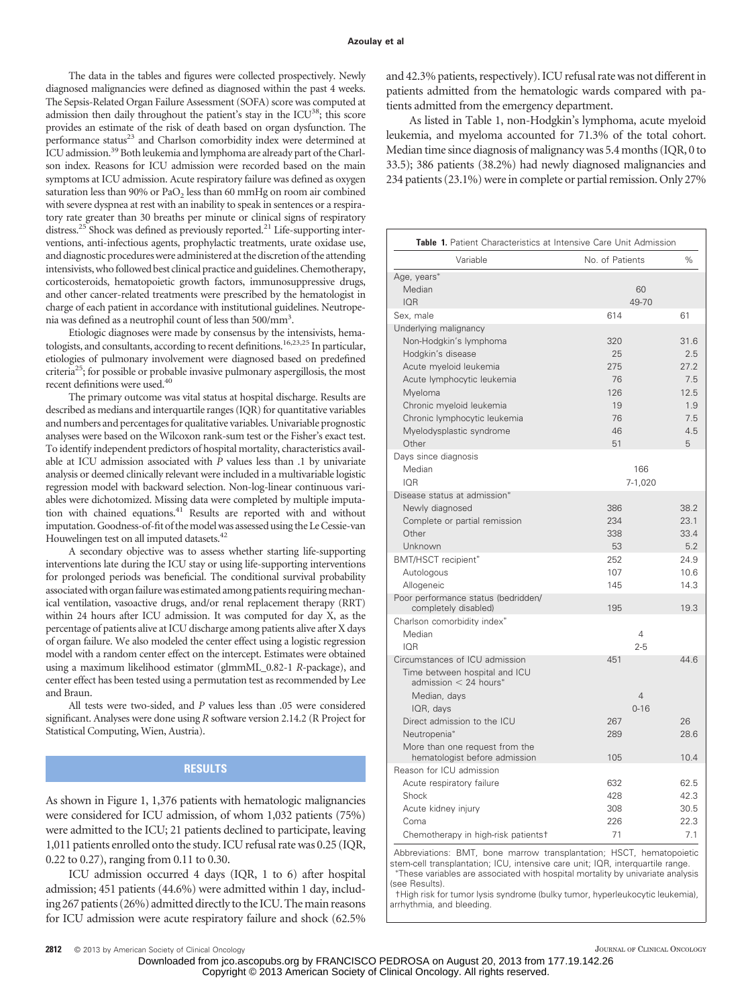The data in the tables and figures were collected prospectively. Newly diagnosed malignancies were defined as diagnosed within the past 4 weeks. The Sepsis-Related Organ Failure Assessment (SOFA) score was computed at admission then daily throughout the patient's stay in the ICU<sup>38</sup>; this score provides an estimate of the risk of death based on organ dysfunction. The performance status<sup>23</sup> and Charlson comorbidity index were determined at ICU admission.<sup>39</sup> Both leukemia and lymphoma are already part of the Charlson index. Reasons for ICU admission were recorded based on the main symptoms at ICU admission. Acute respiratory failure was defined as oxygen saturation less than 90% or PaO<sub>2</sub> less than 60 mmHg on room air combined with severe dyspnea at rest with an inability to speak in sentences or a respiratory rate greater than 30 breaths per minute or clinical signs of respiratory distress.<sup>25</sup> Shock was defined as previously reported.<sup>21</sup> Life-supporting interventions, anti-infectious agents, prophylactic treatments, urate oxidase use, and diagnostic procedures were administered at the discretion of the attending intensivists, who followed best clinical practice and guidelines. Chemotherapy, corticosteroids, hematopoietic growth factors, immunosuppressive drugs, and other cancer-related treatments were prescribed by the hematologist in charge of each patient in accordance with institutional guidelines. Neutropenia was defined as a neutrophil count of less than 500/mm<sup>3</sup>.

Etiologic diagnoses were made by consensus by the intensivists, hematologists, and consultants, according to recent definitions.16,23,25 In particular, etiologies of pulmonary involvement were diagnosed based on predefined criteria<sup>25</sup>; for possible or probable invasive pulmonary aspergillosis, the most recent definitions were used.<sup>40</sup>

The primary outcome was vital status at hospital discharge. Results are described as medians and interquartile ranges (IQR) for quantitative variables and numbers and percentages for qualitative variables. Univariable prognostic analyses were based on the Wilcoxon rank-sum test or the Fisher's exact test. To identify independent predictors of hospital mortality, characteristics available at ICU admission associated with *P* values less than .1 by univariate analysis or deemed clinically relevant were included in a multivariable logistic regression model with backward selection. Non-log-linear continuous variables were dichotomized. Missing data were completed by multiple imputation with chained equations.<sup>41</sup> Results are reported with and without imputation. Goodness-of-fit of the model was assessed using the Le Cessie-van Houwelingen test on all imputed datasets.<sup>42</sup>

A secondary objective was to assess whether starting life-supporting interventions late during the ICU stay or using life-supporting interventions for prolonged periods was beneficial. The conditional survival probability associated with organ failure was estimated among patients requiring mechanical ventilation, vasoactive drugs, and/or renal replacement therapy (RRT) within 24 hours after ICU admission. It was computed for day X, as the percentage of patients alive at ICU discharge among patients alive after X days of organ failure. We also modeled the center effect using a logistic regression model with a random center effect on the intercept. Estimates were obtained using a maximum likelihood estimator (glmmML\_0.82-1 *R*-package), and center effect has been tested using a permutation test as recommended by Lee and Braun.

All tests were two-sided, and *P* values less than .05 were considered significant. Analyses were done using *R* software version 2.14.2 (R Project for Statistical Computing, Wien, Austria).

### **RESULTS**

As shown in Figure 1, 1,376 patients with hematologic malignancies were considered for ICU admission, of whom 1,032 patients (75%) were admitted to the ICU; 21 patients declined to participate, leaving 1,011 patients enrolled onto the study. ICU refusal rate was 0.25 (IQR, 0.22 to 0.27), ranging from 0.11 to 0.30.

ICU admission occurred 4 days (IQR, 1 to 6) after hospital admission; 451 patients (44.6%) were admitted within 1 day, including 267 patients (26%) admitted directly to the ICU. The main reasons for ICU admission were acute respiratory failure and shock (62.5% and 42.3% patients, respectively). ICU refusal rate was not different in patients admitted from the hematologic wards compared with patients admitted from the emergency department.

As listed in Table 1, non-Hodgkin's lymphoma, acute myeloid leukemia, and myeloma accounted for 71.3% of the total cohort. Median time since diagnosis of malignancy was 5.4 months (IQR, 0 to 33.5); 386 patients (38.2%) had newly diagnosed malignancies and 234 patients (23.1%) were in complete or partial remission. Only 27%

| Table 1. Patient Characteristics at Intensive Care Unit Admission                                                                                                                                                                        |                                                       |                                                              |
|------------------------------------------------------------------------------------------------------------------------------------------------------------------------------------------------------------------------------------------|-------------------------------------------------------|--------------------------------------------------------------|
| Variable                                                                                                                                                                                                                                 | No. of Patients                                       | %                                                            |
| Age, years*<br>Median<br><b>IOR</b>                                                                                                                                                                                                      | 60<br>49-70                                           |                                                              |
| Sex, male                                                                                                                                                                                                                                | 614                                                   | 61                                                           |
| Underlying malignancy<br>Non-Hodgkin's lymphoma<br>Hodgkin's disease<br>Acute myeloid leukemia<br>Acute lymphocytic leukemia<br>Myeloma<br>Chronic myeloid leukemia<br>Chronic lymphocytic leukemia<br>Myelodysplastic syndrome<br>Other | 320<br>25<br>275<br>76<br>126<br>19<br>76<br>46<br>51 | 31.6<br>2.5<br>27.2<br>7.5<br>12.5<br>1.9<br>7.5<br>4.5<br>5 |
| Days since diagnosis<br>Median<br><b>IOR</b>                                                                                                                                                                                             | 166<br>7-1,020                                        |                                                              |
| Disease status at admission*<br>Newly diagnosed<br>Complete or partial remission<br>Other<br>Unknown<br>BMT/HSCT recipient*                                                                                                              | 386<br>234<br>338<br>53<br>252                        | 38.2<br>23.1<br>33.4<br>5.2<br>24.9                          |
| Autologous<br>Allogeneic                                                                                                                                                                                                                 | 107<br>145                                            | 10.6<br>14.3                                                 |
| Poor performance status (bedridden/<br>completely disabled)                                                                                                                                                                              | 195                                                   | 19.3                                                         |
| Charlson comorbidity index*<br>Median<br><b>IOR</b>                                                                                                                                                                                      | $\overline{4}$<br>$2 - 5$                             |                                                              |
| Circumstances of ICU admission<br>Time between hospital and ICU<br>$admission < 24 hours*$<br>Median, days<br>IQR, days                                                                                                                  | 451<br>$\overline{4}$<br>$0 - 16$                     | 44.6                                                         |
| Direct admission to the ICU<br>Neutropenia*<br>More than one request from the                                                                                                                                                            | 267<br>289                                            | 26<br>28.6                                                   |
| hematologist before admission                                                                                                                                                                                                            | 105                                                   | 10.4                                                         |
| Reason for ICU admission<br>Acute respiratory failure<br>Shock<br>Acute kidney injury<br>Coma<br>Chemotherapy in high-risk patientst                                                                                                     | 632<br>428<br>308<br>226<br>71                        | 62.5<br>42.3<br>30.5<br>22.3<br>7.1                          |

Abbreviations: BMT, bone marrow transplantation; HSCT, hematopoietic stem-cell transplantation; ICU, intensive care unit; IQR, interquartile range. These variables are associated with hospital mortality by univariate analysis (see Results).

†High risk for tumor lysis syndrome (bulky tumor, hyperleukocytic leukemia), arrhythmia, and bleeding.

Downloaded from jco.ascopubs.org by FRANCISCO PEDROSA on August 20, 2013 from 177.19.142.26 Copyright © 2013 American Society of Clinical Oncology. All rights reserved.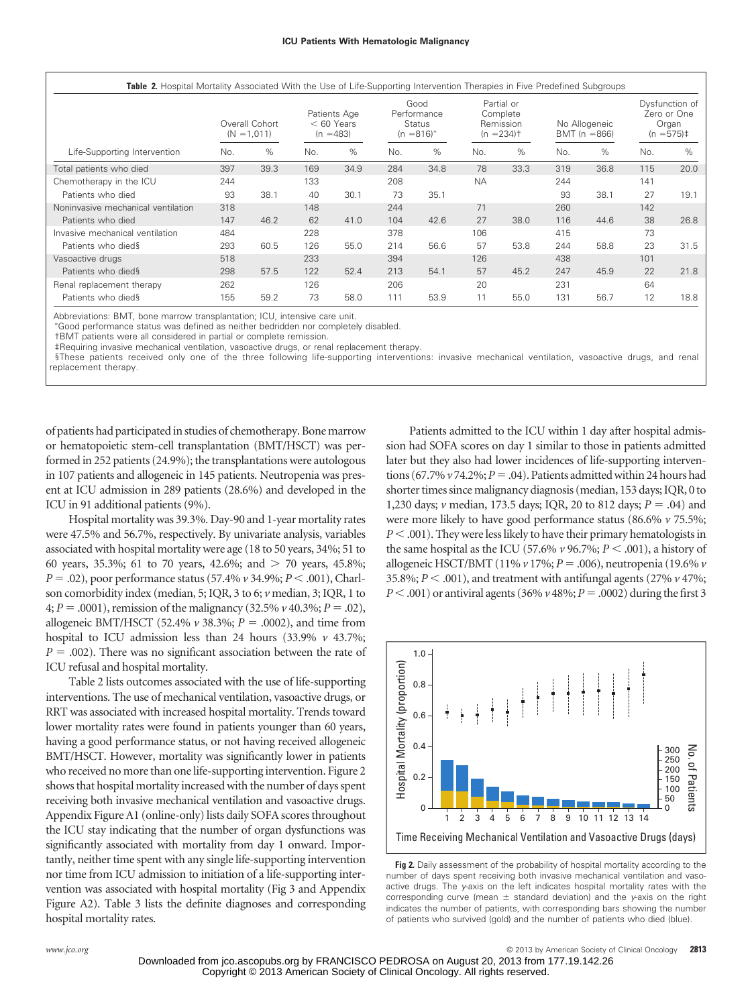|                                    |     | Overall Cohort<br>$(N = 1,011)$ |     | Patients Age<br>$< 60$ Years<br>$(n = 483)$ |     | Good<br>Performance<br><b>Status</b><br>$(n = 816)^*$ |           | Partial or<br>Complete<br>Remission<br>$(n = 234)$ <sup>+</sup> |     | No Allogeneic<br>BMT ( $n = 866$ ) |     | Dysfunction of<br>Zero or One<br>Organ<br>$(n = 575)$ # |
|------------------------------------|-----|---------------------------------|-----|---------------------------------------------|-----|-------------------------------------------------------|-----------|-----------------------------------------------------------------|-----|------------------------------------|-----|---------------------------------------------------------|
| Life-Supporting Intervention       | No. | %                               | No. | $\%$                                        | No. | $\%$                                                  | No.       | %                                                               | No. | $\%$                               | No. | $\%$                                                    |
| Total patients who died            | 397 | 39.3                            | 169 | 34.9                                        | 284 | 34.8                                                  | 78        | 33.3                                                            | 319 | 36.8                               | 115 | 20.0                                                    |
| Chemotherapy in the ICU            | 244 |                                 | 133 |                                             | 208 |                                                       | <b>NA</b> |                                                                 | 244 |                                    | 141 |                                                         |
| Patients who died                  | 93  | 38.1                            | 40  | 30.1                                        | 73  | 35.1                                                  |           |                                                                 | 93  | 38.1                               | 27  | 19.1                                                    |
| Noninvasive mechanical ventilation | 318 |                                 | 148 |                                             | 244 |                                                       | 71        |                                                                 | 260 |                                    | 142 |                                                         |
| Patients who died                  | 147 | 46.2                            | 62  | 41.0                                        | 104 | 42.6                                                  | 27        | 38.0                                                            | 116 | 44.6                               | 38  | 26.8                                                    |
| Invasive mechanical ventilation    | 484 |                                 | 228 |                                             | 378 |                                                       | 106       |                                                                 | 415 |                                    | 73  |                                                         |
| Patients who dieds                 | 293 | 60.5                            | 126 | 55.0                                        | 214 | 56.6                                                  | 57        | 53.8                                                            | 244 | 58.8                               | 23  | 31.5                                                    |
| Vasoactive drugs                   | 518 |                                 | 233 |                                             | 394 |                                                       | 126       |                                                                 | 438 |                                    | 101 |                                                         |
| Patients who dieds                 | 298 | 57.5                            | 122 | 52.4                                        | 213 | 54.1                                                  | 57        | 45.2                                                            | 247 | 45.9                               | 22  | 21.8                                                    |
| Renal replacement therapy          | 262 |                                 | 126 |                                             | 206 |                                                       | 20        |                                                                 | 231 |                                    | 64  |                                                         |
| Patients who dieds                 | 155 | 59.2                            | 73  | 58.0                                        | 111 | 53.9                                                  | 11        | 55.0                                                            | 131 | 56.7                               | 12  | 18.8                                                    |

Abbreviations: BMT, bone marrow transplantation; ICU, intensive care unit.

Good performance status was defined as neither bedridden nor completely disabled.

†BMT patients were all considered in partial or complete remission.

‡Requiring invasive mechanical ventilation, vasoactive drugs, or renal replacement therapy.

§These patients received only one of the three following life-supporting interventions: invasive mechanical ventilation, vasoactive drugs, and renal replacement therapy.

of patients had participated in studies of chemotherapy. Bone marrow or hematopoietic stem-cell transplantation (BMT/HSCT) was performed in 252 patients (24.9%); the transplantations were autologous in 107 patients and allogeneic in 145 patients. Neutropenia was present at ICU admission in 289 patients (28.6%) and developed in the ICU in 91 additional patients (9%).

Hospital mortality was 39.3%. Day-90 and 1-year mortality rates were 47.5% and 56.7%, respectively. By univariate analysis, variables associated with hospital mortality were age (18 to 50 years, 34%; 51 to 60 years, 35.3%; 61 to 70 years, 42.6%; and  $>$  70 years, 45.8%; *P* .02), poor performance status (57.4% *v* 34.9%; *P* .001), Charlson comorbidity index (median, 5; IQR, 3 to 6; *v* median, 3; IQR, 1 to 4;  $P = .0001$ ), remission of the malignancy (32.5%  $\nu$  40.3%;  $P = .02$ ), allogeneic BMT/HSCT (52.4%  $\nu$  38.3%;  $P = .0002$ ), and time from hospital to ICU admission less than 24 hours (33.9% *v* 43.7%;  $P = .002$ ). There was no significant association between the rate of ICU refusal and hospital mortality.

Table 2 lists outcomes associated with the use of life-supporting interventions. The use of mechanical ventilation, vasoactive drugs, or RRT was associated with increased hospital mortality. Trends toward lower mortality rates were found in patients younger than 60 years, having a good performance status, or not having received allogeneic BMT/HSCT. However, mortality was significantly lower in patients who received no more than one life-supporting intervention. Figure 2 shows that hospital mortality increased with the number of days spent receiving both invasive mechanical ventilation and vasoactive drugs. Appendix Figure A1 (online-only) lists daily SOFA scores throughout the ICU stay indicating that the number of organ dysfunctions was significantly associated with mortality from day 1 onward. Importantly, neither time spent with any single life-supporting intervention nor time from ICU admission to initiation of a life-supporting intervention was associated with hospital mortality (Fig 3 and Appendix Figure A2). Table 3 lists the definite diagnoses and corresponding hospital mortality rates.

Patients admitted to the ICU within 1 day after hospital admission had SOFA scores on day 1 similar to those in patients admitted later but they also had lower incidences of life-supporting interventions (67.7%  $v$  74.2%;  $P = .04$ ). Patients admitted within 24 hours had shorter times since malignancy diagnosis (median, 153 days; IQR, 0 to 1,230 days; *v* median, 173.5 days; IQR, 20 to 812 days;  $P = .04$ ) and were more likely to have good performance status (86.6% *v* 75.5%; *P* < .001). They were less likely to have their primary hematologists in the same hospital as the ICU (57.6%  $\nu$  96.7%;  $P < .001$ ), a history of allogeneic HSCT/BMT (11% *v* 17%; *P* .006), neutropenia (19.6% *v* 35.8%;  $P < .001$ ), and treatment with antifungal agents (27%  $\nu$  47%; *P* < .001) or antiviral agents (36% *v* 48%; *P* = .0002) during the first 3



**Fig 2.** Daily assessment of the probability of hospital mortality according to the number of days spent receiving both invasive mechanical ventilation and vasoactive drugs. The *y*-axis on the left indicates hospital mortality rates with the corresponding curve (mean  $\pm$  standard deviation) and the *y*-axis on the right indicates the number of patients, with corresponding bars showing the number of patients who survived (gold) and the number of patients who died (blue).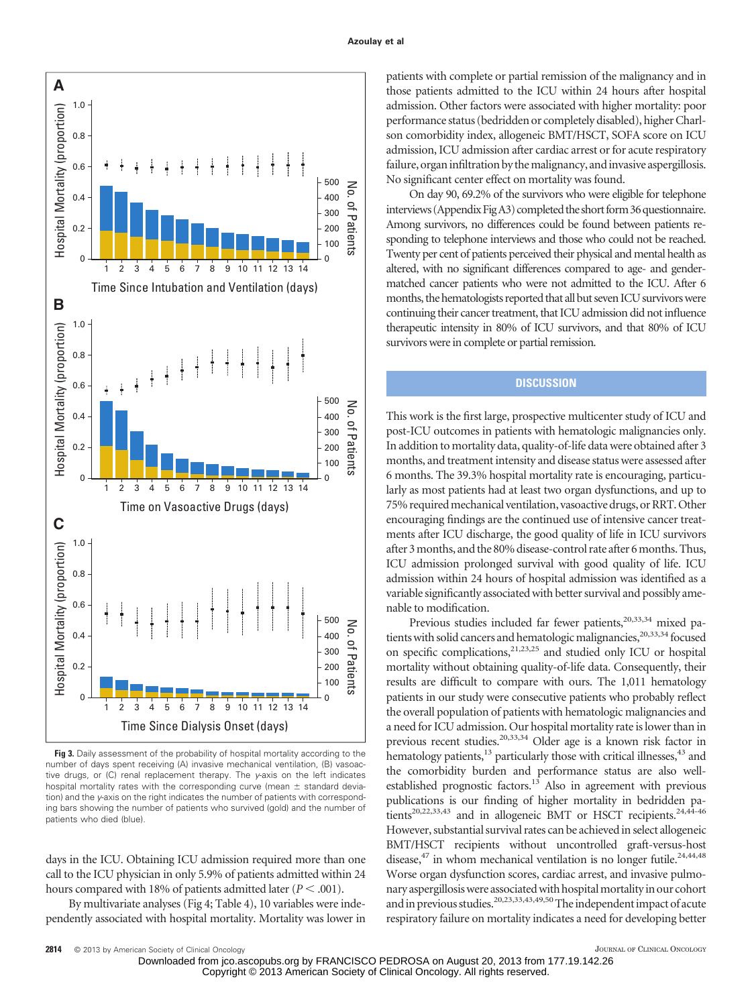

**Fig 3.** Daily assessment of the probability of hospital mortality according to the number of days spent receiving (A) invasive mechanical ventilation, (B) vasoactive drugs, or (C) renal replacement therapy. The *y*-axis on the left indicates hospital mortality rates with the corresponding curve (mean  $\pm$  standard deviation) and the *y*-axis on the right indicates the number of patients with corresponding bars showing the number of patients who survived (gold) and the number of patients who died (blue).

days in the ICU. Obtaining ICU admission required more than one call to the ICU physician in only 5.9% of patients admitted within 24 hours compared with 18% of patients admitted later  $(P < .001)$ .

By multivariate analyses (Fig 4; Table 4), 10 variables were independently associated with hospital mortality. Mortality was lower in patients with complete or partial remission of the malignancy and in those patients admitted to the ICU within 24 hours after hospital admission. Other factors were associated with higher mortality: poor performance status (bedridden or completely disabled), higher Charlson comorbidity index, allogeneic BMT/HSCT, SOFA score on ICU admission, ICU admission after cardiac arrest or for acute respiratory failure, organ infiltration by the malignancy, and invasive aspergillosis. No significant center effect on mortality was found.

On day 90, 69.2% of the survivors who were eligible for telephone interviews (Appendix FigA3) completed the short form 36 questionnaire. Among survivors, no differences could be found between patients responding to telephone interviews and those who could not be reached. Twenty per cent of patients perceived their physical and mental health as altered, with no significant differences compared to age- and gendermatched cancer patients who were not admitted to the ICU. After 6 months, the hematologists reported that all but seven ICU survivors were continuing their cancer treatment, that ICU admission did not influence therapeutic intensity in 80% of ICU survivors, and that 80% of ICU survivors were in complete or partial remission.

### **DISCUSSION**

This work is the first large, prospective multicenter study of ICU and post-ICU outcomes in patients with hematologic malignancies only. In addition to mortality data, quality-of-life data were obtained after 3 months, and treatment intensity and disease status were assessed after 6 months. The 39.3% hospital mortality rate is encouraging, particularly as most patients had at least two organ dysfunctions, and up to 75% required mechanical ventilation, vasoactive drugs, or RRT. Other encouraging findings are the continued use of intensive cancer treatments after ICU discharge, the good quality of life in ICU survivors after 3 months, and the 80% disease-control rate after 6 months. Thus, ICU admission prolonged survival with good quality of life. ICU admission within 24 hours of hospital admission was identified as a variable significantly associated with better survival and possibly amenable to modification.

Previous studies included far fewer patients,<sup>20,33,34</sup> mixed patients with solid cancers and hematologic malignancies,<sup>20,33,34</sup> focused on specific complications, $21,23,25$  and studied only ICU or hospital mortality without obtaining quality-of-life data. Consequently, their results are difficult to compare with ours. The 1,011 hematology patients in our study were consecutive patients who probably reflect the overall population of patients with hematologic malignancies and a need for ICU admission. Our hospital mortality rate is lower than in previous recent studies.20,33,34 Older age is a known risk factor in hematology patients,<sup>13</sup> particularly those with critical illnesses,<sup>43</sup> and the comorbidity burden and performance status are also wellestablished prognostic factors.<sup>13</sup> Also in agreement with previous publications is our finding of higher mortality in bedridden patients<sup>20,22,33,43</sup> and in allogeneic BMT or HSCT recipients.<sup>24,44-46</sup> However, substantial survival rates can be achieved in select allogeneic BMT/HSCT recipients without uncontrolled graft-versus-host disease, $47$  in whom mechanical ventilation is no longer futile.<sup>24,44,48</sup> Worse organ dysfunction scores, cardiac arrest, and invasive pulmonary aspergillosis were associated with hospital mortality in our cohort and in previous studies.<sup>20,23,33,43,49,50</sup>The independent impact of acute respiratory failure on mortality indicates a need for developing better

Downloaded from jco.ascopubs.org by FRANCISCO PEDROSA on August 20, 2013 from 177.19.142.26 Copyright © 2013 American Society of Clinical Oncology. All rights reserved.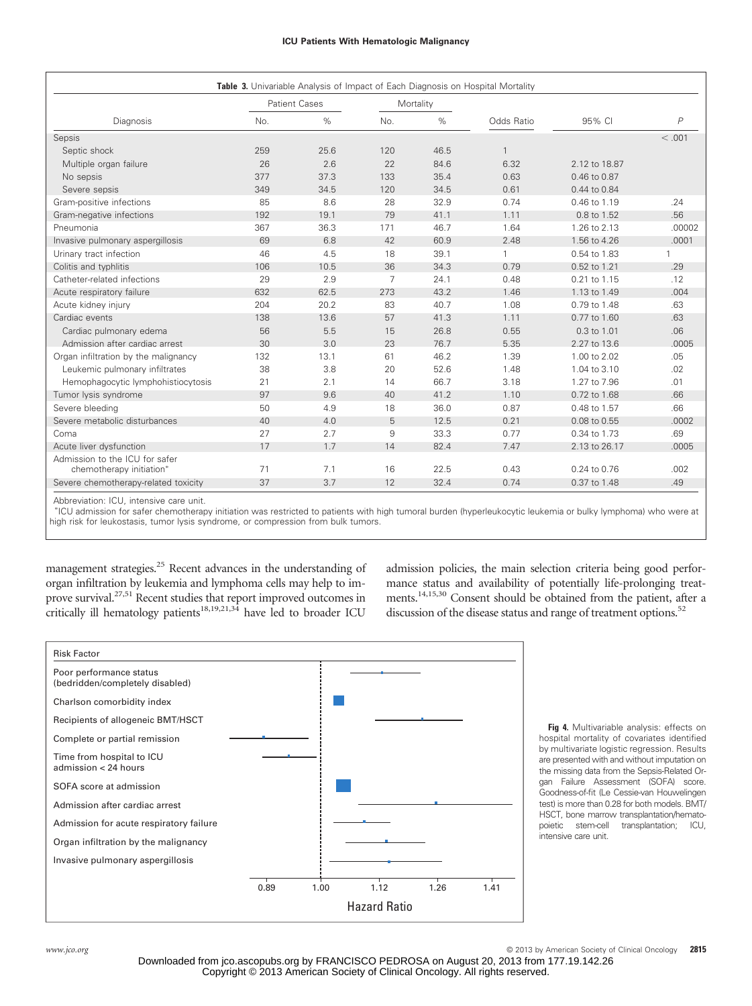#### **ICU Patients With Hematologic Malignancy**

| Table 3. Univariable Analysis of Impact of Each Diagnosis on Hospital Mortality |                                   |      |                |      |              |                  |                |  |
|---------------------------------------------------------------------------------|-----------------------------------|------|----------------|------|--------------|------------------|----------------|--|
|                                                                                 | <b>Patient Cases</b><br>Mortality |      |                |      |              |                  |                |  |
| Diagnosis                                                                       | No.                               | $\%$ | No.            | $\%$ | Odds Ratio   | 95% CI           | $\overline{P}$ |  |
| Sepsis                                                                          |                                   |      |                |      |              |                  | < 0.001        |  |
| Septic shock                                                                    | 259                               | 25.6 | 120            | 46.5 | $\mathbf{1}$ |                  |                |  |
| Multiple organ failure                                                          | 26                                | 2.6  | 22             | 84.6 | 6.32         | 2.12 to 18.87    |                |  |
| No sepsis                                                                       | 377                               | 37.3 | 133            | 35.4 | 0.63         | $0.46$ to $0.87$ |                |  |
| Severe sepsis                                                                   | 349                               | 34.5 | 120            | 34.5 | 0.61         | 0.44 to 0.84     |                |  |
| Gram-positive infections                                                        | 85                                | 8.6  | 28             | 32.9 | 0.74         | 0.46 to 1.19     | .24            |  |
| Gram-negative infections                                                        | 192                               | 19.1 | 79             | 41.1 | 1.11         | 0.8 to 1.52      | .56            |  |
| Pneumonia                                                                       | 367                               | 36.3 | 171            | 46.7 | 1.64         | 1.26 to 2.13     | .00002         |  |
| Invasive pulmonary aspergillosis                                                | 69                                | 6.8  | 42             | 60.9 | 2.48         | 1.56 to 4.26     | .0001          |  |
| Urinary tract infection                                                         | 46                                | 4.5  | 18             | 39.1 | $\mathbf{1}$ | 0.54 to 1.83     |                |  |
| Colitis and typhlitis                                                           | 106                               | 10.5 | 36             | 34.3 | 0.79         | 0.52 to 1.21     | .29            |  |
| Catheter-related infections                                                     | 29                                | 2.9  | $\overline{7}$ | 24.1 | 0.48         | 0.21 to 1.15     | .12            |  |
| Acute respiratory failure                                                       | 632                               | 62.5 | 273            | 43.2 | 1.46         | 1.13 to 1.49     | .004           |  |
| Acute kidney injury                                                             | 204                               | 20.2 | 83             | 40.7 | 1.08         | 0.79 to 1.48     | .63            |  |
| Cardiac events                                                                  | 138                               | 13.6 | 57             | 41.3 | 1.11         | 0.77 to 1.60     | .63            |  |
| Cardiac pulmonary edema                                                         | 56                                | 5.5  | 15             | 26.8 | 0.55         | $0.3$ to $1.01$  | .06            |  |
| Admission after cardiac arrest                                                  | 30                                | 3.0  | 23             | 76.7 | 5.35         | 2.27 to 13.6     | .0005          |  |
| Organ infiltration by the malignancy                                            | 132                               | 13.1 | 61             | 46.2 | 1.39         | 1.00 to 2.02     | .05            |  |
| Leukemic pulmonary infiltrates                                                  | 38                                | 3.8  | 20             | 52.6 | 1.48         | 1.04 to 3.10     | .02            |  |
| Hemophagocytic lymphohistiocytosis                                              | 21                                | 2.1  | 14             | 66.7 | 3.18         | 1.27 to 7.96     | .01            |  |
| Tumor lysis syndrome                                                            | 97                                | 9.6  | 40             | 41.2 | 1.10         | 0.72 to 1.68     | .66            |  |
| Severe bleeding                                                                 | 50                                | 4.9  | 18             | 36.0 | 0.87         | 0.48 to 1.57     | .66            |  |
| Severe metabolic disturbances                                                   | 40                                | 4.0  | 5              | 12.5 | 0.21         | 0.08 to 0.55     | .0002          |  |
| Coma                                                                            | 27                                | 2.7  | 9              | 33.3 | 0.77         | 0.34 to 1.73     | .69            |  |
| Acute liver dysfunction                                                         | 17                                | 1.7  | 14             | 82.4 | 7.47         | 2.13 to 26.17    | .0005          |  |
| Admission to the ICU for safer<br>chemotherapy initiation*                      | 71                                | 7.1  | 16             | 22.5 | 0.43         | 0.24 to 0.76     | .002           |  |
| Severe chemotherapy-related toxicity                                            | 37                                | 3.7  | 12             | 32.4 | 0.74         | 0.37 to 1.48     | .49            |  |

Abbreviation: ICU, intensive care unit.

 ICU admission for safer chemotherapy initiation was restricted to patients with high tumoral burden (hyperleukocytic leukemia or bulky lymphoma) who were at high risk for leukostasis, tumor lysis syndrome, or compression from bulk tumors.

management strategies.<sup>25</sup> Recent advances in the understanding of organ infiltration by leukemia and lymphoma cells may help to improve survival.<sup>27,51</sup> Recent studies that report improved outcomes in critically ill hematology patients<sup>18,19,21,34</sup> have led to broader ICU

admission policies, the main selection criteria being good performance status and availability of potentially life-prolonging treatments.14,15,30 Consent should be obtained from the patient, after a discussion of the disease status and range of treatment options.<sup>52</sup>



**Fig 4.** Multivariable analysis: effects on hospital mortality of covariates identified by multivariate logistic regression. Results are presented with and without imputation on the missing data from the Sepsis-Related Organ Failure Assessment (SOFA) score. Goodness-of-fit (Le Cessie-van Houwelingen test) is more than 0.28 for both models. BMT/ HSCT, bone marrow transplantation/hemato-<br>poietic stem-cell transplantation; ICU, transplantation; ICU, intensive care unit.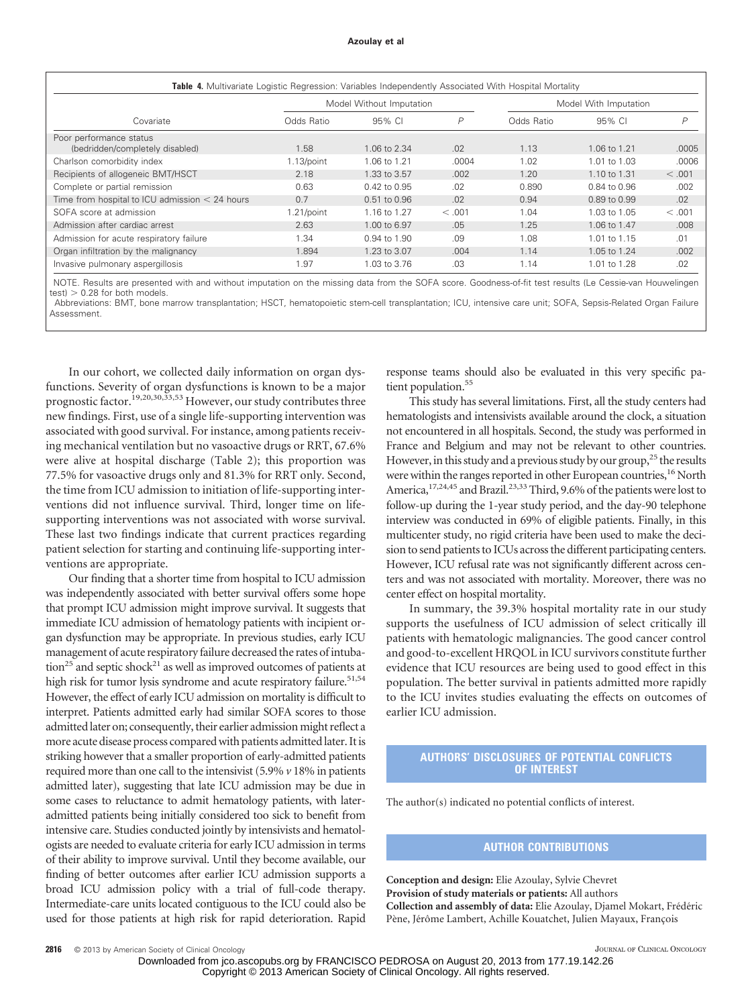#### **Azoulay et al**

| Table 4. Multivariate Logistic Regression: Variables Independently Associated With Hospital Mortality |               |                          |        |                       |              |         |  |  |  |
|-------------------------------------------------------------------------------------------------------|---------------|--------------------------|--------|-----------------------|--------------|---------|--|--|--|
|                                                                                                       |               | Model Without Imputation |        | Model With Imputation |              |         |  |  |  |
| Covariate                                                                                             | Odds Ratio    | 95% CI                   | P      | Odds Ratio            | 95% CI       | P       |  |  |  |
| Poor performance status<br>(bedridden/completely disabled)                                            | 1.58          | 1.06 to 2.34             | .02    | 1.13                  | 1.06 to 1.21 | .0005   |  |  |  |
| Charlson comorbidity index                                                                            | $1.13$ /point | 1.06 to 1.21             | .0004  | 1.02                  | 1.01 to 1.03 | .0006   |  |  |  |
| Recipients of allogeneic BMT/HSCT                                                                     | 2.18          | 1.33 to 3.57             | .002   | 1.20                  | 1.10 to 1.31 | < 0.001 |  |  |  |
| Complete or partial remission                                                                         | 0.63          | $0.42$ to $0.95$         | .02    | 0.890                 | 0.84 to 0.96 | .002    |  |  |  |
| Time from hospital to ICU admission $<$ 24 hours                                                      | 0.7           | 0.51 to 0.96             | .02    | 0.94                  | 0.89 to 0.99 | .02     |  |  |  |
| SOFA score at admission                                                                               | $1.21$ /point | 1.16 to 1.27             | < .001 | 1.04                  | 1.03 to 1.05 | < 0.001 |  |  |  |
| Admission after cardiac arrest                                                                        | 2.63          | 1.00 to 6.97             | .05    | 1.25                  | 1.06 to 1.47 | .008    |  |  |  |
| Admission for acute respiratory failure                                                               | 1.34          | 0.94 to 1.90             | .09    | 1.08                  | 1.01 to 1.15 | .01     |  |  |  |
| Organ infiltration by the malignancy                                                                  | 1.894         | 1.23 to 3.07             | .004   | 1.14                  | 1.05 to 1.24 | .002    |  |  |  |
| Invasive pulmonary aspergillosis                                                                      | 1.97          | 1.03 to 3.76             | .03    | 1.14                  | 1.01 to 1.28 | .02     |  |  |  |

NOTE. Results are presented with and without imputation on the missing data from the SOFA score. Goodness-of-fit test results (Le Cessie-van Houwelingen  $test$ )  $> 0.28$  for both models.

Abbreviations: BMT, bone marrow transplantation; HSCT, hematopoietic stem-cell transplantation; ICU, intensive care unit; SOFA, Sepsis-Related Organ Failure Assessment.

In our cohort, we collected daily information on organ dysfunctions. Severity of organ dysfunctions is known to be a major prognostic factor.<sup>19,20,30,33,53</sup> However, our study contributes three new findings. First, use of a single life-supporting intervention was associated with good survival. For instance, among patients receiving mechanical ventilation but no vasoactive drugs or RRT, 67.6% were alive at hospital discharge (Table 2); this proportion was 77.5% for vasoactive drugs only and 81.3% for RRT only. Second, the time from ICU admission to initiation of life-supporting interventions did not influence survival. Third, longer time on lifesupporting interventions was not associated with worse survival. These last two findings indicate that current practices regarding patient selection for starting and continuing life-supporting interventions are appropriate.

Our finding that a shorter time from hospital to ICU admission was independently associated with better survival offers some hope that prompt ICU admission might improve survival. It suggests that immediate ICU admission of hematology patients with incipient organ dysfunction may be appropriate. In previous studies, early ICU management of acute respiratory failure decreased the rates of intuba- $\frac{1}{2}$  and septic shock<sup>21</sup> as well as improved outcomes of patients at high risk for tumor lysis syndrome and acute respiratory failure.<sup>51,54</sup> However, the effect of early ICU admission on mortality is difficult to interpret. Patients admitted early had similar SOFA scores to those admitted later on; consequently, their earlier admission might reflect a more acute disease process compared with patients admitted later. It is striking however that a smaller proportion of early-admitted patients required more than one call to the intensivist (5.9% *v* 18% in patients admitted later), suggesting that late ICU admission may be due in some cases to reluctance to admit hematology patients, with lateradmitted patients being initially considered too sick to benefit from intensive care. Studies conducted jointly by intensivists and hematologists are needed to evaluate criteria for early ICU admission in terms of their ability to improve survival. Until they become available, our finding of better outcomes after earlier ICU admission supports a broad ICU admission policy with a trial of full-code therapy. Intermediate-care units located contiguous to the ICU could also be used for those patients at high risk for rapid deterioration. Rapid

response teams should also be evaluated in this very specific patient population.<sup>55</sup>

This study has several limitations. First, all the study centers had hematologists and intensivists available around the clock, a situation not encountered in all hospitals. Second, the study was performed in France and Belgium and may not be relevant to other countries. However, in this study and a previous study by our group, $^{25}$  the results were within the ranges reported in other European countries,<sup>16</sup> North America,<sup>17,24,45</sup> and Brazil.<sup>23,33</sup> Third, 9.6% of the patients were lost to follow-up during the 1-year study period, and the day-90 telephone interview was conducted in 69% of eligible patients. Finally, in this multicenter study, no rigid criteria have been used to make the decision to send patients to ICUs across the different participating centers. However, ICU refusal rate was not significantly different across centers and was not associated with mortality. Moreover, there was no center effect on hospital mortality.

In summary, the 39.3% hospital mortality rate in our study supports the usefulness of ICU admission of select critically ill patients with hematologic malignancies. The good cancer control and good-to-excellent HRQOL in ICU survivors constitute further evidence that ICU resources are being used to good effect in this population. The better survival in patients admitted more rapidly to the ICU invites studies evaluating the effects on outcomes of earlier ICU admission.

### **AUTHORS' DISCLOSURES OF POTENTIAL CONFLICTS OF INTEREST**

The author(s) indicated no potential conflicts of interest.

### **AUTHOR CONTRIBUTIONS**

**Conception and design:** Elie Azoulay, Sylvie Chevret **Provision of study materials or patients:** All authors **Collection and assembly of data:** Elie Azoulay, Djamel Mokart, Frédéric Pène, Jérôme Lambert, Achille Kouatchet, Julien Mayaux, François

Downloaded from jco.ascopubs.org by FRANCISCO PEDROSA on August 20, 2013 from 177.19.142.26 Copyright © 2013 American Society of Clinical Oncology. All rights reserved.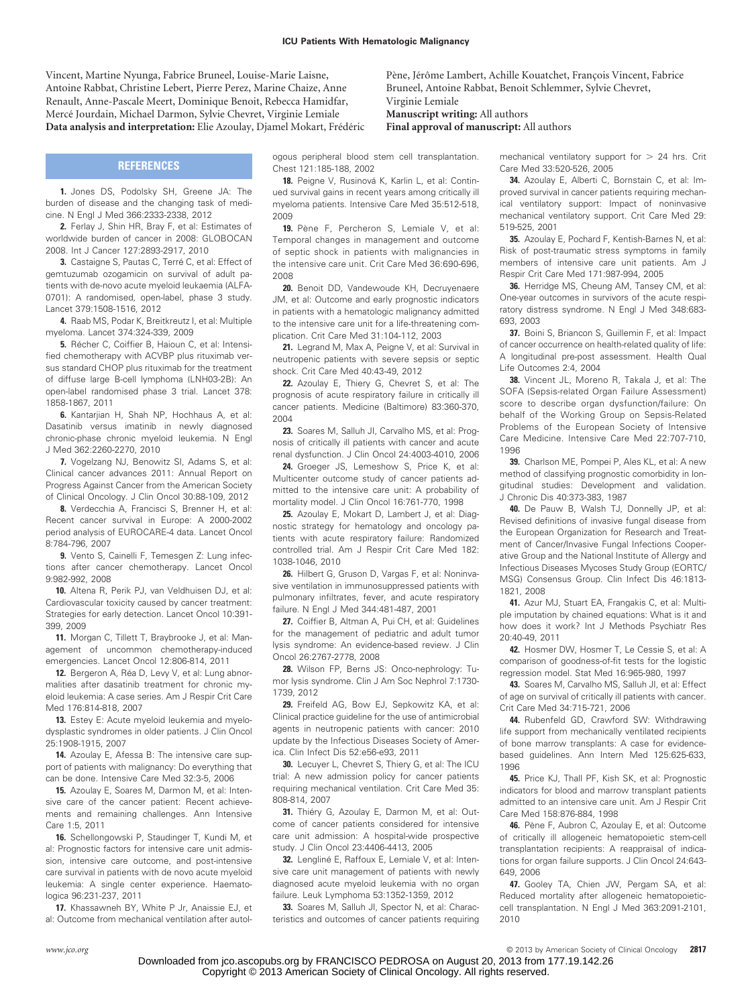Vincent, Martine Nyunga, Fabrice Bruneel, Louise-Marie Laisne, Antoine Rabbat, Christine Lebert, Pierre Perez, Marine Chaize, Anne Renault, Anne-Pascale Meert, Dominique Benoit, Rebecca Hamidfar, Mercé Jourdain, Michael Darmon, Sylvie Chevret, Virginie Lemiale Data analysis and interpretation: Elie Azoulay, Djamel Mokart, Frédéric Pène, Jérôme Lambert, Achille Kouatchet, François Vincent, Fabrice Bruneel, Antoine Rabbat, Benoit Schlemmer, Sylvie Chevret, Virginie Lemiale **Manuscript writing:** All authors

**Final approval of manuscript:** All authors

#### **REFERENCES**

**1.** Jones DS, Podolsky SH, Greene JA: The burden of disease and the changing task of medicine. N Engl J Med 366:2333-2338, 2012

**2.** Ferlay J, Shin HR, Bray F, et al: Estimates of worldwide burden of cancer in 2008: GLOBOCAN 2008. Int J Cancer 127:2893-2917, 2010

**3.** Castaigne S, Pautas C, Terré C, et al: Effect of gemtuzumab ozogamicin on survival of adult patients with de-novo acute myeloid leukaemia (ALFA-0701): A randomised, open-label, phase 3 study. Lancet 379:1508-1516, 2012

**4.** Raab MS, Podar K, Breitkreutz I, et al: Multiple myeloma. Lancet 374:324-339, 2009

**5.** Récher C, Coiffier B, Haioun C, et al: Intensified chemotherapy with ACVBP plus rituximab versus standard CHOP plus rituximab for the treatment of diffuse large B-cell lymphoma (LNH03-2B): An open-label randomised phase 3 trial. Lancet 378: 1858-1867, 2011

**6.** Kantarjian H, Shah NP, Hochhaus A, et al: Dasatinib versus imatinib in newly diagnosed chronic-phase chronic myeloid leukemia. N Engl J Med 362:2260-2270, 2010

**7.** Vogelzang NJ, Benowitz SI, Adams S, et al: Clinical cancer advances 2011: Annual Report on Progress Against Cancer from the American Society of Clinical Oncology. J Clin Oncol 30:88-109, 2012

**8.** Verdecchia A, Francisci S, Brenner H, et al: Recent cancer survival in Europe: A 2000-2002 period analysis of EUROCARE-4 data. Lancet Oncol 8:784-796, 2007

**9.** Vento S, Cainelli F, Temesgen Z: Lung infections after cancer chemotherapy. Lancet Oncol 9:982-992, 2008

**10.** Altena R, Perik PJ, van Veldhuisen DJ, et al: Cardiovascular toxicity caused by cancer treatment: Strategies for early detection. Lancet Oncol 10:391- 399, 2009

**11.** Morgan C, Tillett T, Braybrooke J, et al: Management of uncommon chemotherapy-induced emergencies. Lancet Oncol 12:806-814, 2011

12. Bergeron A, Réa D, Levy V, et al: Lung abnormalities after dasatinib treatment for chronic myeloid leukemia: A case series. Am J Respir Crit Care Med 176:814-818, 2007

**13.** Estey E: Acute myeloid leukemia and myelodysplastic syndromes in older patients. J Clin Oncol 25:1908-1915, 2007

**14.** Azoulay E, Afessa B: The intensive care support of patients with malignancy: Do everything that can be done. Intensive Care Med 32:3-5, 2006

**15.** Azoulay E, Soares M, Darmon M, et al: Intensive care of the cancer patient: Recent achievements and remaining challenges. Ann Intensive Care 1:5, 2011

**16.** Schellongowski P, Staudinger T, Kundi M, et al: Prognostic factors for intensive care unit admission, intensive care outcome, and post-intensive care survival in patients with de novo acute myeloid leukemia: A single center experience. Haematologica 96:231-237, 2011

**17.** Khassawneh BY, White P Jr, Anaissie EJ, et al: Outcome from mechanical ventilation after autologous peripheral blood stem cell transplantation. Chest 121:185-188, 2002

18. Peigne V, Rusinová K, Karlin L, et al: Continued survival gains in recent years among critically ill myeloma patients. Intensive Care Med 35:512-518, 2009

**19.** Pène F, Percheron S, Lemiale V, et al: Temporal changes in management and outcome of septic shock in patients with malignancies in the intensive care unit. Crit Care Med 36:690-696, 2008

**20.** Benoit DD, Vandewoude KH, Decruyenaere JM, et al: Outcome and early prognostic indicators in patients with a hematologic malignancy admitted to the intensive care unit for a life-threatening complication. Crit Care Med 31:104-112, 2003

**21.** Legrand M, Max A, Peigne V, et al: Survival in neutropenic patients with severe sepsis or septic shock. Crit Care Med 40:43-49, 2012

**22.** Azoulay E, Thiery G, Chevret S, et al: The prognosis of acute respiratory failure in critically ill cancer patients. Medicine (Baltimore) 83:360-370, 2004

**23.** Soares M, Salluh JI, Carvalho MS, et al: Prognosis of critically ill patients with cancer and acute renal dysfunction. J Clin Oncol 24:4003-4010, 2006

**24.** Groeger JS, Lemeshow S, Price K, et al: Multicenter outcome study of cancer patients admitted to the intensive care unit: A probability of mortality model. J Clin Oncol 16:761-770, 1998

**25.** Azoulay E, Mokart D, Lambert J, et al: Diagnostic strategy for hematology and oncology patients with acute respiratory failure: Randomized controlled trial. Am J Respir Crit Care Med 182: 1038-1046, 2010

**26.** Hilbert G, Gruson D, Vargas F, et al: Noninvasive ventilation in immunosuppressed patients with pulmonary infiltrates, fever, and acute respiratory failure. N Engl J Med 344:481-487, 2001

**27.** Coiffier B, Altman A, Pui CH, et al: Guidelines for the management of pediatric and adult tumor lysis syndrome: An evidence-based review. J Clin Oncol 26:2767-2778, 2008

**28.** Wilson FP, Berns JS: Onco-nephrology: Tumor lysis syndrome. Clin J Am Soc Nephrol 7:1730- 1739, 2012

**29.** Freifeld AG, Bow EJ, Sepkowitz KA, et al: Clinical practice guideline for the use of antimicrobial agents in neutropenic patients with cancer: 2010 update by the Infectious Diseases Society of America. Clin Infect Dis 52:e56-e93, 2011

**30.** Lecuyer L, Chevret S, Thiery G, et al: The ICU trial: A new admission policy for cancer patients requiring mechanical ventilation. Crit Care Med 35: 808-814, 2007

**31.** Thiéry G, Azoulay E, Darmon M, et al: Outcome of cancer patients considered for intensive care unit admission: A hospital-wide prospective study. J Clin Oncol 23:4406-4413, 2005

**32.** Lengliné E, Raffoux E, Lemiale V, et al: Intensive care unit management of patients with newly diagnosed acute myeloid leukemia with no organ failure. Leuk Lymphoma 53:1352-1359, 2012

**33.** Soares M, Salluh JI, Spector N, et al: Characteristics and outcomes of cancer patients requiring

mechanical ventilatory support for  $> 24$  hrs. Crit Care Med 33:520-526, 2005

**34.** Azoulay E, Alberti C, Bornstain C, et al: Improved survival in cancer patients requiring mechanical ventilatory support: Impact of noninvasive mechanical ventilatory support. Crit Care Med 29: 519-525, 2001

**35.** Azoulay E, Pochard F, Kentish-Barnes N, et al: Risk of post-traumatic stress symptoms in family members of intensive care unit patients. Am J Respir Crit Care Med 171:987-994, 2005

**36.** Herridge MS, Cheung AM, Tansey CM, et al: One-year outcomes in survivors of the acute respiratory distress syndrome. N Engl J Med 348:683- 693, 2003

**37.** Boini S, Briancon S, Guillemin F, et al: Impact of cancer occurrence on health-related quality of life: A longitudinal pre-post assessment. Health Qual Life Outcomes 2:4, 2004

**38.** Vincent JL, Moreno R, Takala J, et al: The SOFA (Sepsis-related Organ Failure Assessment) score to describe organ dysfunction/failure: On behalf of the Working Group on Sepsis-Related Problems of the European Society of Intensive Care Medicine. Intensive Care Med 22:707-710, 1996

**39.** Charlson ME, Pompei P, Ales KL, et al: A new method of classifying prognostic comorbidity in longitudinal studies: Development and validation. J Chronic Dis 40:373-383, 1987

**40.** De Pauw B, Walsh TJ, Donnelly JP, et al: Revised definitions of invasive fungal disease from the European Organization for Research and Treatment of Cancer/Invasive Fungal Infections Cooperative Group and the National Institute of Allergy and Infectious Diseases Mycoses Study Group (EORTC/ MSG) Consensus Group. Clin Infect Dis 46:1813- 1821, 2008

**41.** Azur MJ, Stuart EA, Frangakis C, et al: Multiple imputation by chained equations: What is it and how does it work? Int J Methods Psychiatr Res 20:40-49, 2011

**42.** Hosmer DW, Hosmer T, Le Cessie S, et al: A comparison of goodness-of-fit tests for the logistic regression model. Stat Med 16:965-980, 1997

**43.** Soares M, Carvalho MS, Salluh JI, et al: Effect of age on survival of critically ill patients with cancer. Crit Care Med 34:715-721, 2006

**44.** Rubenfeld GD, Crawford SW: Withdrawing life support from mechanically ventilated recipients of bone marrow transplants: A case for evidencebased guidelines. Ann Intern Med 125:625-633, 1996

**45.** Price KJ, Thall PF, Kish SK, et al: Prognostic indicators for blood and marrow transplant patients admitted to an intensive care unit. Am J Respir Crit Care Med 158:876-884, 1998

46. Pène F, Aubron C, Azoulay E, et al: Outcome of critically ill allogeneic hematopoietic stem-cell transplantation recipients: A reappraisal of indications for organ failure supports. J Clin Oncol 24:643- 649, 2006

**47.** Gooley TA, Chien JW, Pergam SA, et al: Reduced mortality after allogeneic hematopoieticcell transplantation. N Engl J Med 363:2091-2101, 2010

*www.jco.org* © 2013 by American Society of Clinical Oncology **2817**

Downloaded from jco.ascopubs.org by FRANCISCO PEDROSA on August 20, 2013 from 177.19.142.26 Copyright © 2013 American Society of Clinical Oncology. All rights reserved.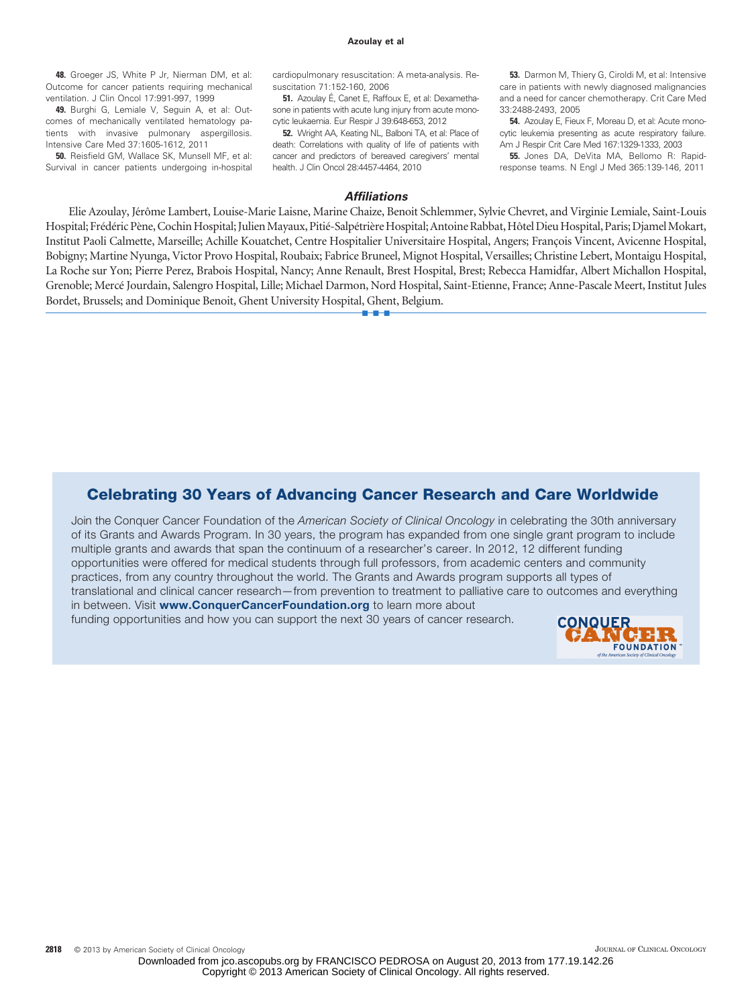#### **Azoulay et al**

**48.** Groeger JS, White P Jr, Nierman DM, et al: Outcome for cancer patients requiring mechanical ventilation. J Clin Oncol 17:991-997, 1999

**49.** Burghi G, Lemiale V, Seguin A, et al: Outcomes of mechanically ventilated hematology patients with invasive pulmonary aspergillosis. Intensive Care Med 37:1605-1612, 2011

**50.** Reisfield GM, Wallace SK, Munsell MF, et al: Survival in cancer patients undergoing in-hospital

cardiopulmonary resuscitation: A meta-analysis. Resuscitation 71:152-160, 2006

**51.** Azoulay É, Canet E, Raffoux E, et al: Dexamethasone in patients with acute lung injury from acute monocytic leukaemia. Eur Respir J 39:648-653, 2012

**52.** Wright AA, Keating NL, Balboni TA, et al: Place of death: Correlations with quality of life of patients with cancer and predictors of bereaved caregivers' mental health. J Clin Oncol 28:4457-4464, 2010

**53.** Darmon M, Thiery G, Ciroldi M, et al: Intensive care in patients with newly diagnosed malignancies and a need for cancer chemotherapy. Crit Care Med 33:2488-2493, 2005

**54.** Azoulay E, Fieux F, Moreau D, et al: Acute monocytic leukemia presenting as acute respiratory failure. Am J Respir Crit Care Med 167:1329-1333, 2003

**55.** Jones DA, DeVita MA, Bellomo R: Rapidresponse teams. N Engl J Med 365:139-146, 2011

#### *Affiliations*

Elie Azoulay, Jérôme Lambert, Louise-Marie Laisne, Marine Chaize, Benoit Schlemmer, Sylvie Chevret, and Virginie Lemiale, Saint-Louis Hospital; Frédéric Pène, Cochin Hospital; Julien Mayaux, Pitié-Salpétrière Hospital; Antoine Rabbat, Hôtel Dieu Hospital, Paris; Djamel Mokart, Institut Paoli Calmette, Marseille; Achille Kouatchet, Centre Hospitalier Universitaire Hospital, Angers; François Vincent, Avicenne Hospital, Bobigny; Martine Nyunga, Victor Provo Hospital, Roubaix; Fabrice Bruneel, Mignot Hospital, Versailles; Christine Lebert, Montaigu Hospital, La Roche sur Yon; Pierre Perez, Brabois Hospital, Nancy; Anne Renault, Brest Hospital, Brest; Rebecca Hamidfar, Albert Michallon Hospital, Grenoble; Mercé Jourdain, Salengro Hospital, Lille; Michael Darmon, Nord Hospital, Saint-Etienne, France; Anne-Pascale Meert, Institut Jules Bordet, Brussels; and Dominique Benoit, Ghent University Hospital, Ghent, Belgium.

■■■

### **Celebrating 30 Years of Advancing Cancer Research and Care Worldwide**

Join the Conquer Cancer Foundation of the *American Society of Clinical Oncology* in celebrating the 30th anniversary of its Grants and Awards Program. In 30 years, the program has expanded from one single grant program to include multiple grants and awards that span the continuum of a researcher's career. In 2012, 12 different funding opportunities were offered for medical students through full professors, from academic centers and community practices, from any country throughout the world. The Grants and Awards program supports all types of translational and clinical cancer research—from prevention to treatment to palliative care to outcomes and everything in between. Visit **<www.ConquerCancerFoundation.org>** to learn more about

funding opportunities and how you can support the next 30 years of cancer research.

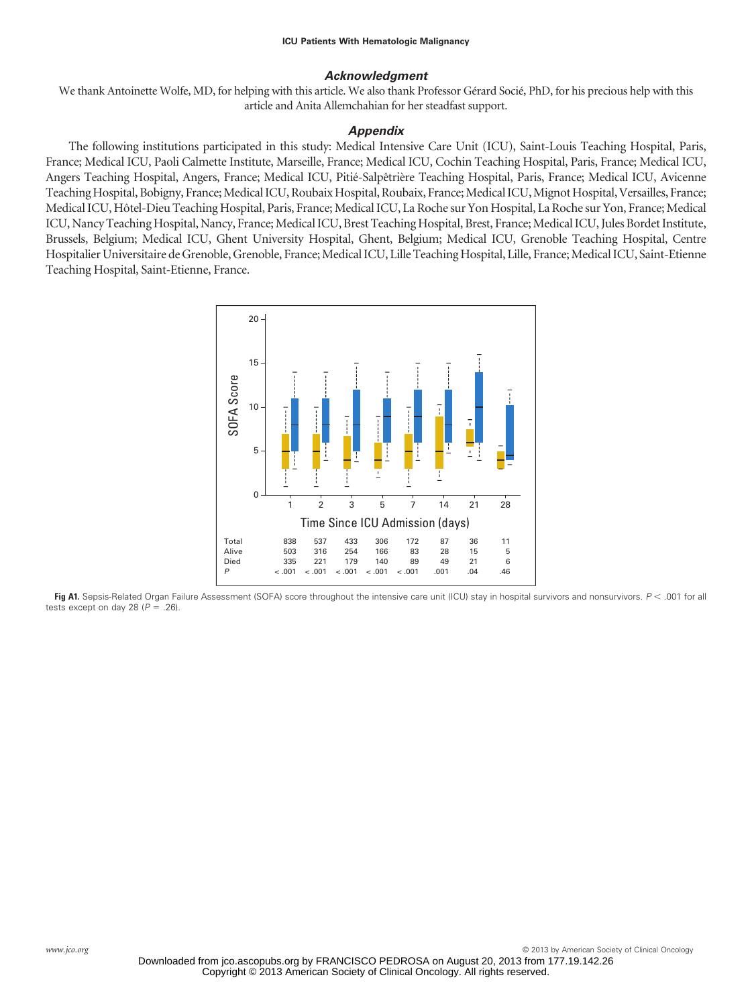### *Acknowledgment*

We thank Antoinette Wolfe, MD, for helping with this article. We also thank Professor Gérard Socié, PhD, for his precious help with this article and Anita Allemchahian for her steadfast support.

### *Appendix*

The following institutions participated in this study: Medical Intensive Care Unit (ICU), Saint-Louis Teaching Hospital, Paris, France; Medical ICU, Paoli Calmette Institute, Marseille, France; Medical ICU, Cochin Teaching Hospital, Paris, France; Medical ICU, Angers Teaching Hospital, Angers, France; Medical ICU, Pitié-Salpêtrière Teaching Hospital, Paris, France; Medical ICU, Avicenne Teaching Hospital, Bobigny, France; Medical ICU, Roubaix Hospital, Roubaix, France; Medical ICU, Mignot Hospital, Versailles, France; Medical ICU, Hôtel-Dieu Teaching Hospital, Paris, France; Medical ICU, La Roche sur Yon Hospital, La Roche sur Yon, France; Medical ICU, Nancy Teaching Hospital, Nancy, France; Medical ICU, Brest Teaching Hospital, Brest, France; Medical ICU, Jules Bordet Institute, Brussels, Belgium; Medical ICU, Ghent University Hospital, Ghent, Belgium; Medical ICU, Grenoble Teaching Hospital, Centre Hospitalier Universitaire de Grenoble, Grenoble, France; Medical ICU, Lille Teaching Hospital, Lille, France; Medical ICU, Saint-Etienne Teaching Hospital, Saint-Etienne, France.



Fig A1. Sepsis-Related Organ Failure Assessment (SOFA) score throughout the intensive care unit (ICU) stay in hospital survivors and nonsurvivors. *P* < .001 for all tests except on day 28  $(P = .26)$ .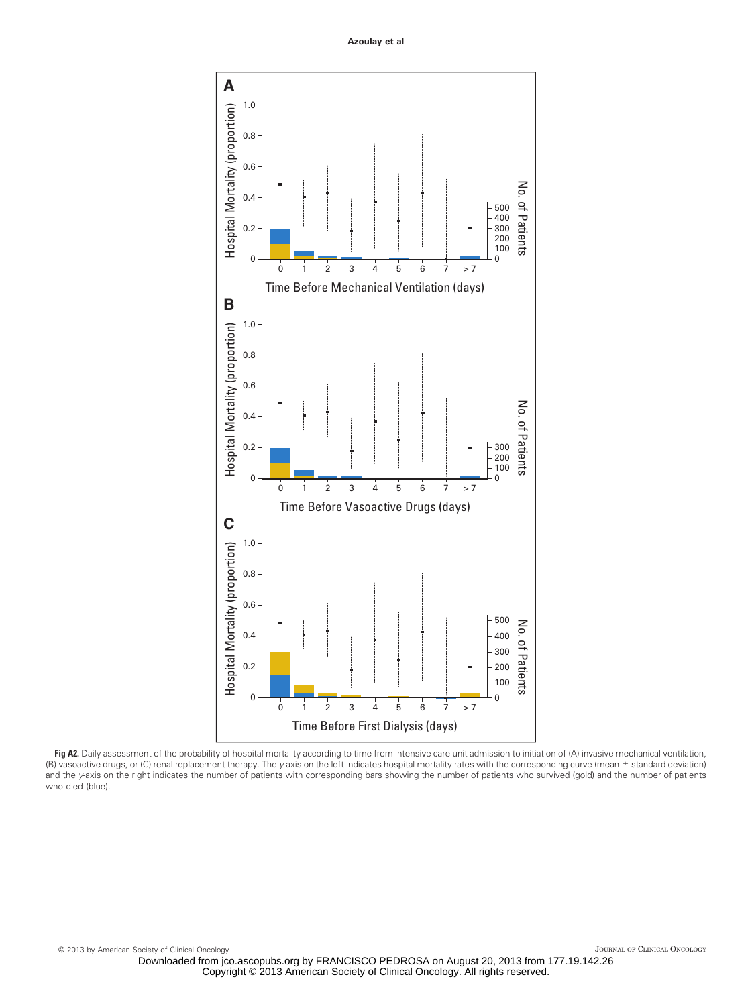**Azoulay et al**



Fig A2. Daily assessment of the probability of hospital mortality according to time from intensive care unit admission to initiation of (A) invasive mechanical ventilation, (B) vasoactive drugs, or (C) renal replacement therapy. The *y*-axis on the left indicates hospital mortality rates with the corresponding curve (mean ± standard deviation) and the *y*-axis on the right indicates the number of patients with corresponding bars showing the number of patients who survived (gold) and the number of patients who died (blue).